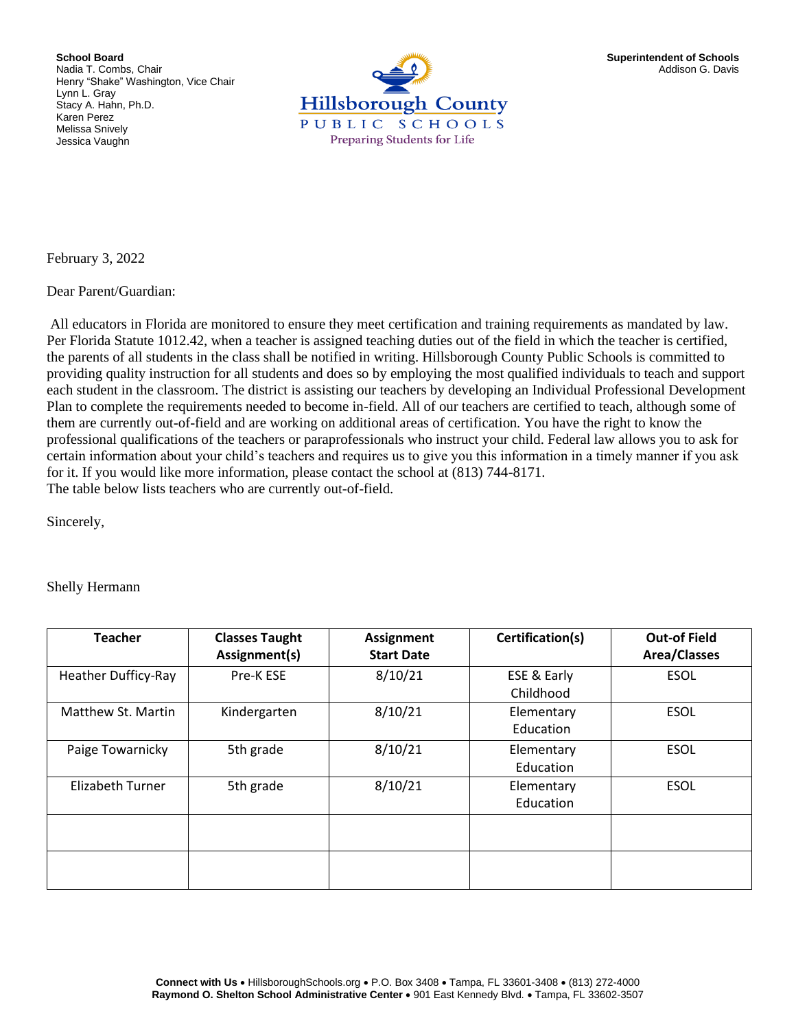**School Board** Nadia T. Combs, Chair Henry "Shake" Washington, Vice Chair Lynn L. Gray Stacy A. Hahn, Ph.D. Karen Perez Melissa Snively Jessica Vaughn



February 3, 2022

Dear Parent/Guardian:

All educators in Florida are monitored to ensure they meet certification and training requirements as mandated by law. Per Florida Statute 1012.42, when a teacher is assigned teaching duties out of the field in which the teacher is certified, the parents of all students in the class shall be notified in writing. Hillsborough County Public Schools is committed to providing quality instruction for all students and does so by employing the most qualified individuals to teach and support each student in the classroom. The district is assisting our teachers by developing an Individual Professional Development Plan to complete the requirements needed to become in-field. All of our teachers are certified to teach, although some of them are currently out-of-field and are working on additional areas of certification. You have the right to know the professional qualifications of the teachers or paraprofessionals who instruct your child. Federal law allows you to ask for certain information about your child's teachers and requires us to give you this information in a timely manner if you ask for it. If you would like more information, please contact the school at (813) 744-8171. The table below lists teachers who are currently out-of-field.

Sincerely,

## Shelly Hermann

| <b>Teacher</b>             | <b>Classes Taught</b><br>Assignment(s) | <b>Assignment</b><br><b>Start Date</b> | Certification(s)         | <b>Out-of Field</b><br><b>Area/Classes</b> |
|----------------------------|----------------------------------------|----------------------------------------|--------------------------|--------------------------------------------|
| <b>Heather Dufficy-Ray</b> | Pre-K ESE                              | 8/10/21                                | ESE & Early<br>Childhood | <b>ESOL</b>                                |
| Matthew St. Martin         | Kindergarten                           | 8/10/21                                | Elementary<br>Education  | <b>ESOL</b>                                |
| Paige Towarnicky           | 5th grade                              | 8/10/21                                | Elementary<br>Education  | <b>ESOL</b>                                |
| <b>Elizabeth Turner</b>    | 5th grade                              | 8/10/21                                | Elementary<br>Education  | <b>ESOL</b>                                |
|                            |                                        |                                        |                          |                                            |
|                            |                                        |                                        |                          |                                            |